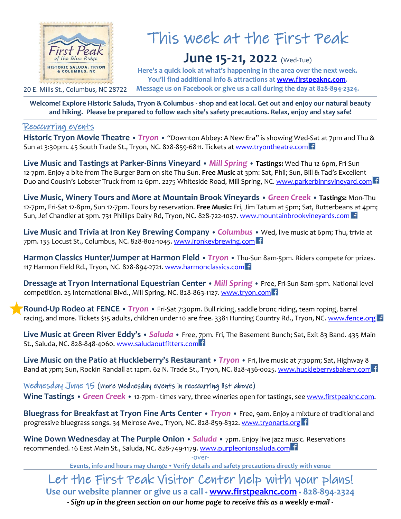

## This week at the First Peak

## **June 15-21, 2022** (Wed-Tue)

**Here's a quick look at what's happening in the area over the next week. You'll find additional info & attractions at [www.firstpeaknc.com.](http://www.firstpeaknc.com/) Message us on Facebook or give us a call during the day at 828-894-2324.**

**Welcome! Explore Historic Saluda, Tryon & Columbus - shop and eat local. Get out and enjoy our natural beauty and hiking. Please be prepared to follow each site's safety precautions. Relax, enjoy and stay safe!**

## Reoccurring events

**Historic Tryon Movie Theatre •** *Tryon* **•** "Downton Abbey: A New Era" is showing Wed-Sat at 7pm and Thu & Sun at 3:30pm. 45 South Trade St., Tryon, NC. 828-859-6811. Tickets at [www.tryontheatre.com](http://www.tryontheatre.com/)

**Live Music and Tastings at Parker-Binns Vineyard •** *Mill Spring* **• Tastings:** Wed-Thu 12-6pm, Fri-Sun 12-7pm. Enjoy a bite from The Burger Barn on site Thu-Sun. **Free Music** at 3pm: Sat, Phil; Sun, Bill & Tad's Excellent Duo and Cousin's Lobster Truck from 12-6pm. 2275 Whiteside Road, Mill Spring, NC. [www.parkerbinnsvineyard.com](http://www.parkerbinnsvineyard.com/)

**Live Music, Winery Tours and More at Mountain Brook Vineyards •** *Green Creek* **• Tastings:** Mon-Thu 12-7pm, Fri-Sat 12-8pm, Sun 12-7pm. Tours by reservation. **Free Music:** Fri, Jim Tatum at 5pm; Sat, Butterbeans at 4pm; Sun, Jef Chandler at 3pm. 731 Phillips Dairy Rd, Tryon, NC. 828-722-1037. [www.mountainbrookvineyards.com](http://www.mountainbrookvineyards.com/)

**Live Music and Trivia at Iron Key Brewing Company •** *Columbus* **•** Wed, live music at 6pm; Thu, trivia at 7pm. 135 Locust St., Columbus, NC. 828-802-1045[. www.ironkeybrewing.com](http://www.ironkeybrewing.com/)

**Harmon Classics Hunter/Jumper at Harmon Field** • *Tryon* • Thu-Sun 8am-5pm. Riders compete for prizes. 117 Harmon Field Rd., Tryon, NC. 828-894-2721. [www.harmonclassics.com](http://www.harmonclassics.com/)

**Dressage at Tryon International Equestrian Center** • *Mill Spring* • Free, Fri-Sun 8am-5pm. National level competition. 25 International Blvd., Mill Spring, NC. 828-863-1127[. www.tryon.com](http://www.tryon.com/thisweek)

**Round-Up Rodeo at FENCE •** *Tryon* **•** Fri-Sat 7:30pm. Bull riding, saddle bronc riding, team roping, barrel racing, and more. Tickets \$15 adults, children under 10 are free. 3381 Hunting Country Rd., Tryon, NC. [www.fence.org](http://www.fence.org/)

**Live Music at Green River Eddy's •** *Saluda* **•** Free, 7pm. Fri, The Basement Bunch; Sat, Exit 83 Band. 435 Main St., Saluda, NC. 828-848-4060. [www.saludaoutfitters.com](http://www.saludaoutfitters.com/)

**Live Music on the Patio at Huckleberry's Restaurant •** *Tryon* **•** Fri, live music at 7:30pm; Sat, Highway 8 Band at 7pm; Sun, Rockin Randall at 12pm. 62 N. Trade St., Tryon, NC. 828-436-0025[. www.huckleberrysbakery.com](http://www.huckleberrysbakery.com/)

Wednesday June 15 (more Wednesday events in reoccurring list above) **Wine Tastings •** *Green Creek* **•** 12-7pm - times vary, three wineries open for tastings, se[e www.firstpeaknc.com.](https://firstpeaknc.com/business-category/wineries-and-vineyards/)

**Bluegrass for Breakfast at Tryon Fine Arts Center •** *Tryon* **•** Free, 9am. Enjoy a mixture of traditional and progressive bluegrass songs. 34 Melrose Ave., Tryon, NC. 828-859-8322. [www.tryonarts.org](http://www.tryonarts.org/)

**Wine Down Wednesday at The Purple Onion •** *Saluda* **•** 7pm. Enjoy live jazz music. Reservations recommended. 16 East Main St., Saluda, NC. 828-749-1179. [www.purpleonionsaluda.com](http://www.purpleonionsaluda.com/)

-over-

**Events, info and hours may change Verify details and safety precautions directly with venue**

Let the First Peak Visitor Center help with your plans! **Use our website planner or give us a call [www.firstpeaknc.com](http://www.firstpeaknc.com/) 828-894-2324**

*- Sign up in the green section on our home page to receive this as a weekly e-mail -*